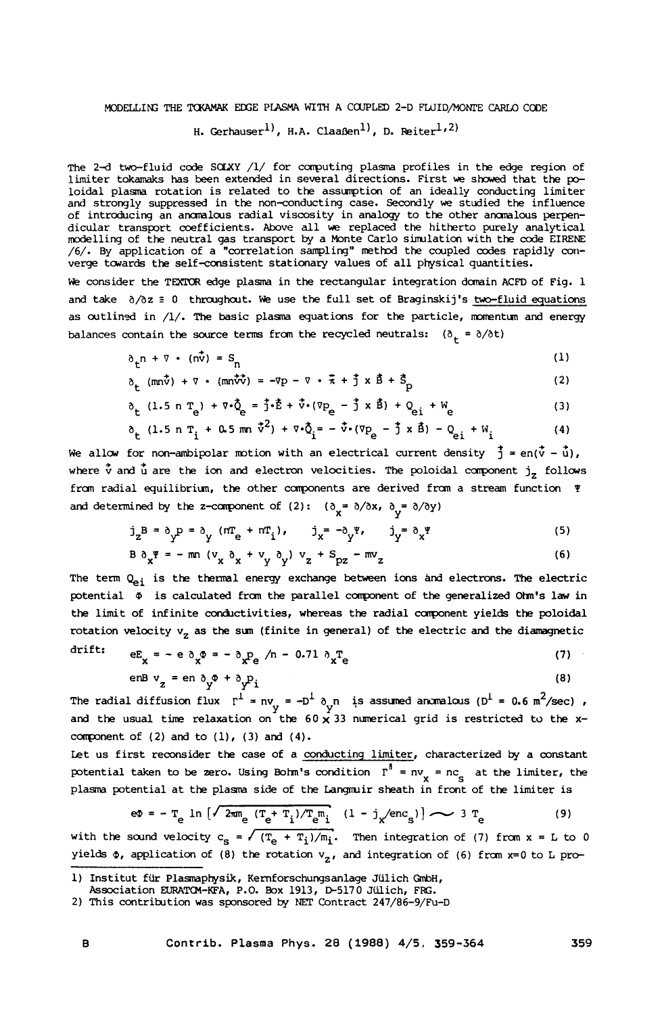## **MODELLIN; THE** TCKAMAK **ECGE PIASMA WITH A** CCUPLED **2-D FWIDfiONl'E** *CARLO* CCOE

H. Gerhauser<sup>1</sup>, H.A. Claaßen<sup>1</sup>, D. Reiter<sup>1,2)</sup>

The 2-d two-fluid code SOLXY /1/ for computing plasma profiles in the edge region of limiter tokamaks has been extended in several directions. First we showed that the poloidal plasma rotation is related to the assunption of an ideally conducting limiter and strongly suppressed in the non-conducting case. Secondly we studied the influence of introducing an amlcus radial viscosity in **analogy** to the other **amlcus** perpendicular transport coefficients. Above all we replaced the hitherto purely analytical modelling of the neutral gas transport by **a** Monte Carlo simulation with the code EIRENE /6/. By application of a "correlation sampling" method the coupled codes rapidly converge tcwards the self-consistent stationary values of all physical quantities.

We consider the TEXTOR edge plasma in the rectangular integration domain ACFD of Fig. 1 and take  $\partial/\partial z = 0$  throughout. We use the full set of Braginskij's two-fluid equations as outlined in /1/. The basic plasma equations for the particle, momentum and energy balances contain the source terms from the recycled neutrals:  $(\partial_t = \partial/\partial t)$ 

$$
\delta_{\mathbf{t}} \mathbf{n} + \nabla \cdot (\mathbf{n}\mathbf{v}) = \mathbf{S}_{\mathbf{n}} \tag{1}
$$

$$
\delta_{\mathbf{t}} \ (\text{mn}\vec{v}) + \nabla \cdot (\text{mn}\vec{v}\vec{v}) = -\nabla p - \nabla \cdot \vec{\pi} + \vec{j} \times \vec{B} + \vec{S}_{\text{p}}
$$
 (2)

$$
\delta_{\mathsf{t}} (1.5 \, \text{n} \, \text{T}_{\mathsf{e}}) + \nabla \cdot \dot{\mathsf{Q}}_{\mathsf{e}} = \mathbf{J} \cdot \dot{\mathsf{E}} + \dot{\nabla} \cdot (\nabla \mathsf{P}_{\mathsf{e}} - \mathbf{J} \times \dot{\mathsf{B}}) + \mathsf{Q}_{\mathsf{e} \mathbf{i}} + \mathsf{W}_{\mathsf{e}} \tag{3}
$$

$$
\delta_{\mathbf{t}} (1.5 \text{ n } \mathbf{T}_{i} + 0.5 \text{ m} \hat{\mathbf{v}}^{2}) + \nabla \cdot \tilde{Q}_{i} = -\vec{\mathbf{v}} \cdot (\nabla p_{e} - \vec{\mathbf{j}} \times \vec{\mathbf{B}}) - Q_{ei} + W_{i}
$$
 (4)

We allow for non-ambipolar motion with an electrical current density  $\vec{j} = en(\vec{v} - \vec{u})$ , where  $\dot{v}$  and  $\dot{u}$  are the ion and electron velocities. The poloidal component  $j_z$  follows fran radial equilibriun, the other catpnents are derived fran **a** stream function Y and determined by the z-component of (2):  $(\delta_{\mathbf{x}} = \delta / \delta x, \delta_{\mathbf{y}} = \delta / \delta y)$ 

$$
j_z^B = \delta_y^D = \delta_y (m_E^a + m_I^a), \qquad j_x^a - \delta_y^a, \qquad j_y^a = \delta_x^a
$$
 (5)

$$
B \partial_x \bar{y} = -mn (v_x \partial_x + v_y \partial_y) v_z + S_{pz} - mv_z
$$
 (6)

The term Q<sub>ei</sub> is the thermal energy exchange between ions and electrons. The electric potential @ is calculated fran the parallel canponent of the generalized **Oh's** law in the limit of infinite conductivities, whereas the radial carponent yields the poloidal rotation velocity  $v_z$  as the sum (finite in general) of the electric and the diamagnetic

$$
d\text{crit:} \qquad e_{\mathbf{x}} = -e \partial_{\mathbf{x}} \Phi = -\partial_{\mathbf{x}} P_{\mathbf{e}} / n - 0.71 \partial_{\mathbf{x}} T_{\mathbf{e}}
$$
 (7)

$$
\text{enB } v_z = \text{en } \delta_y \Phi + \delta_y P_i \tag{8}
$$

The radial diffusion flux  $r^1 = ny = -D^1 \delta_n n$  is assumed anomalous ( $D^1 = 0.6 \text{ m}^2/\text{sec}$ ), and the usual time relaxation on the  $60 \times 33$  numerical grid is restricted to the xcomponent of **(2)** and to **(11,** (3) and (4).

Let us first remider the case of **a** conducting limiter, characterized **by a** constant potential taken to be zero. Using Bohm's condition  $r^n = nv_x = nc_s$  at the limiter, the **plasma** potential at the plasm side of the Langmir sheath in front of the limiter is st reconsider the case of a <u>conducting limiter</u>, characterized<br>taken to be zero. Using Bohm's condition  $\Gamma^{\parallel} = n\nu_x = nc_s$  at the<br>ential at the plasma side of the Langmuir sheath in front of the<br>eq = - T<sub>e</sub> ln  $[\sqrt{2\pi n_e} (\text$ 

$$
e\Phi = -T_e \ln \left[ \sqrt{2\pi m_e} \frac{(T_e + T_i)/T_e m_i}{(1 - j_x/enc_s)} \right] \sim 3 T_e
$$
 (9)

with the sound velocity  $c_{\rm s} = \sqrt{(\mathbf{T}_{\rm e} + \mathbf{T}_{\rm i})/\mathbf{m}_{\rm i}}$ . Then integration of (7) from  $\mathbf{x} = \mathbf{L}$  to 0 yields  $\Phi$ , application of (8) the rotation  $v_{\sigma}$ , and integration of (6) from x=0 to L pro-

<sup>1)</sup> Institut fiir Plasmaptysik, Kernforschungsanlage Jiilich **QnbH,** 

Fssociation *EtJI?ATC3l-KFAr* P.O. **Box** 1913, **P5170** Jiilich, **FK.** 

<sup>2)</sup> This contritution was sponsored **by NET** Contract 247/86-9/Fu-D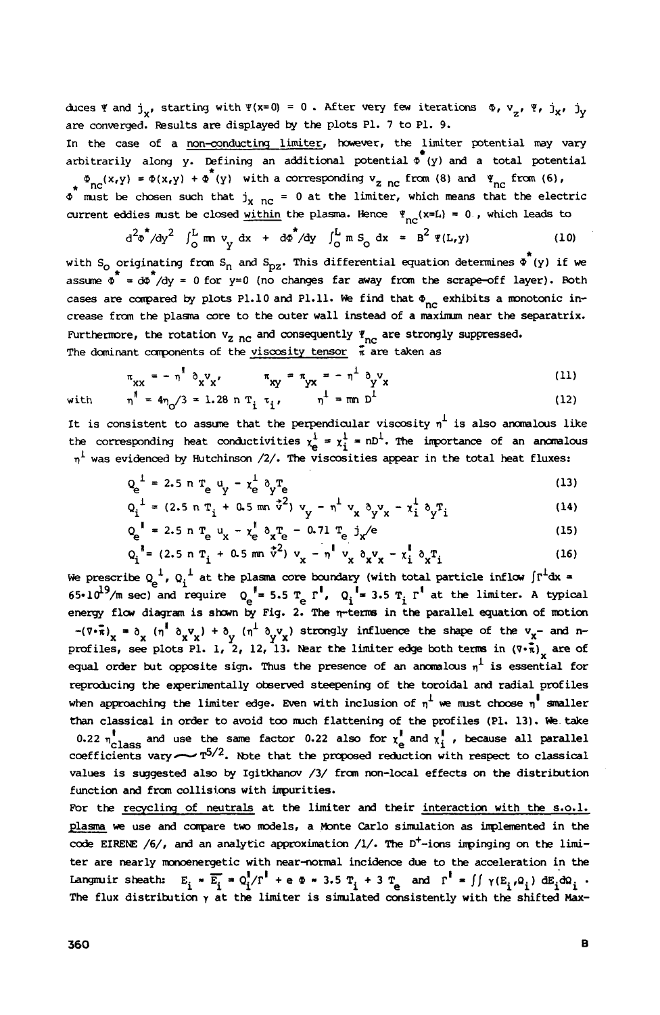$\alpha$ ces **Y** and **j**<sub>v</sub>, starting with  $Y(x=0) = 0$ . After very few iterations  $\Phi$ ,  $V_x$ ,  $Y_x$ ,  $j_x$ ,  $j_y$ are converged. ksults are displayed **by** the plots P1. **7** to P1. 9.

In the case of a non-conducting limiter, however, the limiter potential may vary arbitrarily along y. Defining an additional potential  $\Phi^{\top}(y)$  and a total potential  $\Phi_{n,q}(x,y) = \Phi(x,y) + \Phi^{(n)}(y)$  with a corresponding  $v_{z,nc}$  from *(8)* and  $\Psi_{n,q}$  from *(6)*,

 $\phi$  must be chosen such that  $j_{x \text{nc}} = 0$  at the limiter, which means that the electric w must be chosen such that  $J_{\rm X-nc}$  = 0 at the finitier, which means that the effect.<br>current eddies must be closed <u>within</u> the plasma. Hence  $\P_{nc}(\mathbf{x}=\mathbf{L}) = 0$ , which leads to

$$
d^2\varphi^*/dy^2
$$
  $\int_0^L m v_y dx + d\varphi^*/dy \int_0^L m S_0 dx = B^2 \Psi(L, y)$  (10)

\* with *So* originating fran Sn and Spz. This differential equation determines *0* (y) if **we**  assume  $\phi^* = d\phi^*/dy = 0$  for y=0 (no changes far away from the scrape-off layer). Roth assume  $\phi^* = d\phi^*/dy = 0$  for y=0 (no changes far away from the scrape-off layer). Roth cases are compared by plots P1.10 and P1.11. We find that  $\Phi_{nc}$  exhibits a monotonic increase fran the plasra core to the cuter wall instead of a **maximan** near the separatrix. Furthermore, the rotation  $v_{z \ncap}$  and consequently  $\Psi_{nc}$  are strongly suppressed.

The dominant components of the viscosity tensor 
$$
\pi
$$
 are taken as  
\n
$$
\pi_{XX} = - \eta^{\dagger} \partial_X v_X, \qquad \pi_{XY} = - \eta^{\dagger} \partial_Y v_X
$$
\n(11)

with 
$$
n^{\parallel} = 4\eta_0 / 3 = 1.28 \text{ n T}_i \tau_i, \qquad n^{\perp} = \text{mn } D^{\perp}
$$
 (12)

It is consistent to assume that the perpendicular viscosity  $\eta^{\perp}$  is also anomalous like the corresponding heat conductivities  $\chi^1_e = \chi^1_i = nD^1$ . The importance of an anomalous **qL** was evidenced **by** Hutchinson /2/. The viscosities appear in the total heat fluxes:

$$
Q_e^{\perp} = 2.5 \text{ n T}_e \text{ u}_y - \chi_e^{\perp} \text{ O}_y \text{T}_e \tag{13}
$$

$$
Q_i^{\perp} = (2.5 \text{ n T}_i + 0.5 \text{ m} \dot{\sigma}^2) v_y - n^{\perp} v_x \delta_y v_x - x_i^{\perp} \delta_y T_i
$$
 (14)

$$
Q_{e}^{\dagger} = 2.5 \text{ n T}_{e} u_{x} - x_{e}^{\dagger} \partial_{x} T_{e} - 0.71 T_{e} j_{x}^{\dagger} / e
$$
 (15)  

$$
Q_{e}^{\dagger} = (2.5 \text{ n T}_{e} + 0.5 \text{ nm} \dot{v}^{2}) v_{x} - x^{\dagger} v_{x} v_{y} - x^{\dagger} \partial_{x} T
$$
 (16)

$$
Q_i^{\dagger} = (2.5 \text{ n } T_i + 0.5 \text{ mm } \vec{v}^2) v_x - \eta^{\dagger} v_x \delta_x v_x - x_i^{\dagger} \delta_x T_i
$$
 (16)

We prescribe  $Q_a^{\perp}$ ,  $Q_i^{\perp}$  at the plasma core boundary (with total particle inflow  $\int \Gamma^{\perp} dx =$  $65 \cdot 10^{19}$ /m sec) and require  $Q_{\alpha}$ <sup>1</sup> = 5.5 T<sub>a</sub>  $r^1$ ,  $Q_i$ <sup>1</sup> = 3.5 T<sub>i</sub>  $r^1$  at the limiter. A typical energy flw diagran is **sficwn by** Fig. **2.** The q-term in the parallel equation of notion **y**  $(n^{\perp} \gamma \mathbf{v}_x)$  strongly influence the shape of the  $\mathbf{v}_x$ - and nprofiles, see plots Pl. 1, 2, 12, 13. Near the limiter edge both terms in  $(\overline{v} \cdot \overline{\overline{x}})$  are of **equal order but opposite sign. Thus the presence of an anomalous**  $\eta^1$  **is essential for** reproducing the experimentally observed steepening of the toroidal and radial profiles when approaching the limiter edge. Even with inclusion of  $\eta^1$  we must choose  $\eta^1$  smaller than classical in order to avoid too rmch flattening of the profiles (Pl. 13). **We** take 0.22  $n_{\text{class}}^{\text{I}}$  and use the same factor 0.22 also for  $\chi_{\text{e}}^{\text{I}}$  and  $\chi_{\text{I}}^{\text{I}}$ , because all parallel coefficients vary  $\sim$   $\pi^{5/2}$ . Note that the proposed reduction with respect to classical values is suggested also **by** Igitkhanov /3/ fran non-local effects on the distribution function and from collisions with impurities. **1**  -(v-n), = ax (q' **axvx)** + a

For the recycling of neutrals at the limiter and their interaction with the **s.0.1.**  plasma we use and compare two models, a Monte Carlo simulation as implemented in the code **EIREM /6/,** and an analytic approximation **/I/.** The **D+-ions** inpinging on the **limi**ter are nearly nunoenergetic with near-normal incidence due to the acceleration **in** the Langmuir sheath:  $E_i \times \overline{E_i} = Q_i^{\dagger}/\Gamma^{\dagger} + e \Phi \times 3.5 T_i + 3 T_e$  and  $\Gamma^{\dagger} = \iint \gamma(E_i,\Omega_i) dE_i d\Omega_i$ . Langmuir sheath:  $E_i = E_i^T = Q_i^I / \Gamma^I + e \Phi - 3.5 T_i + 3 T_e$  and  $\Gamma^I = \iint \gamma(E_i, Q_i) dE_i dQ_i$ .<br>The flux distribution  $\gamma$  at the limiter is simulated consistently with the shifted Max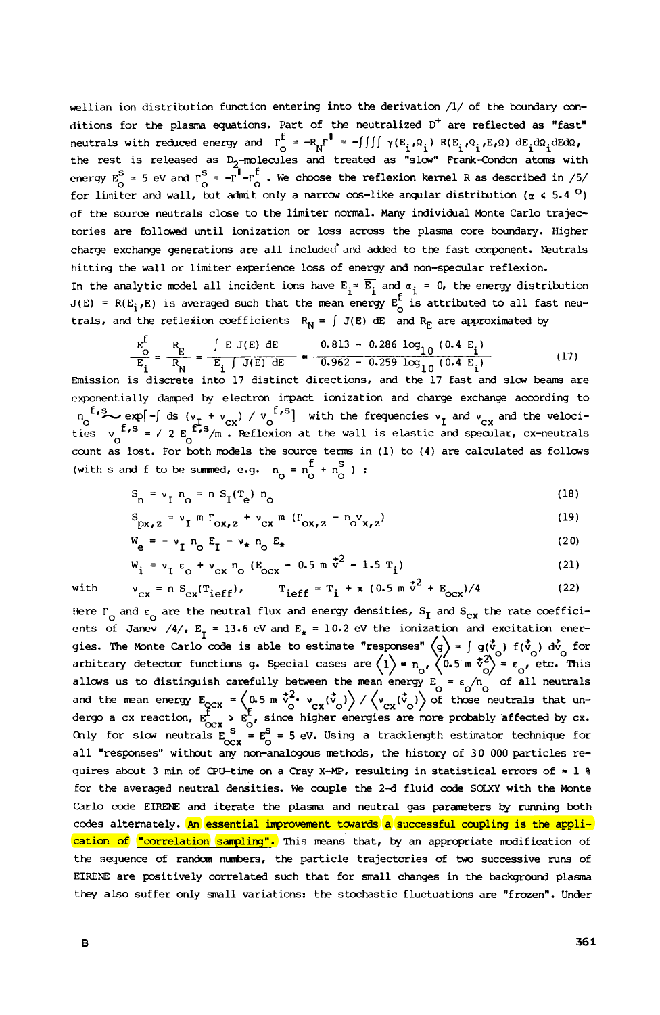wellian ion distribution function entering into the derivation /1/ of the boundary conditions for the plasma equations. Part of the neutralized  $D^+$  are reflected as "fast" neutrals with reduced energy and  $\Gamma_{\bigcirc}^{\mathsf{E}} = -\mathsf{R_N}\Gamma^{\mathsf{E}} = -\iint\int\int\gamma(E_i,\Omega_i) \ \mathsf{R}(E_i,\Omega_i,E,\Omega) \ \mathsf{d}E_i\mathsf{d}\Omega_i\mathsf{d}E\mathsf{d}\Omega_i$ the rest is released as D<sub>2</sub>-molecules and treated as "slow" Frank-Condon atoms with energy  $E_0^S = 5$  eV and  $\Gamma_0^S = -\Gamma^{\parallel} - \Gamma_0^{\parallel}$ . We choose the reflexion kernel R as described in /5/  $\Gamma$ for limiter and wall, but admit only a narrow cos-like angular distribution  $(a \lt 5.4^\circ)$ of the **source** neutrals clase to the limiter normal. *Many* individual Monte Carlo trajectories are followed until ionization or loss across the plasma core boundary. Higher charge exchange generations are all included' and added to the fast corrponent. Mutrals hitting the wall or limiter exprience loss of energy and non-specular reflexion. In the analytic model all incident ions have  $E_i = \overline{E_i}$  and  $\alpha_i = 0$ , the energy distribution  $J(E) = R(E_i, E)$  is averaged such that the mean energy  $E_i^f$  is attributed to all fast neutrals, and the reflexion coefficients  $R_N = \int J(E) dE$  and  $R_E$  are approximated by adde<br>rgy<br>E.am

$$
\frac{E_{\text{O}}^{\text{f}}}{E_{\text{i}}} = \frac{R_{\text{E}}}{R_{\text{N}}} = \frac{\int E J(E) \, dE}{E_{\text{i}} \int J(E) \, dE} = \frac{0.813 - 0.286 \log_{10} (0.4 \, E_{\text{i}})}{0.962 - 0.259 \log_{10} (0.4 \, E_{\text{i}})} \tag{17}
$$
\nEmission is discrete into 17 distinct directions, and the 17 fast and slow beams are

expnentially damped by electron impact ionization and charge exchange according to  $n_0$ <sup>1</sup>/<sup>3</sup>  $\sim$  exp[- $\int$  ds ( $v_T + v_{CX}$ ) /  $v_0$ <sup>1/3</sup>] with the frequencies  $v_T$  and  $v_{CX}$  and the velocities  $v_s$  is  $\frac{f}{s}$  is  $\frac{f}{s}$  / 2  $E_s$   $\frac{f}{s}$  /m. Reflexion at the wall is elastic and specular, cx-neut count as lost. For both models the source terms in (1) to (4) are calculated as follows (with s and f to be summed, e.g.  $n_0 = n_0^f + n_0^S$ ) :  $n_0$ <sup>f, s</sup> exp[-/ ds ( $v_t + v_{cx}$ ) /  $v_0$ <sup>f, s</sup>] with the frequencies  $v_I$  and  $v_{cx}$ *0* 

$$
S_n = v_I n_o = n S_I(T_e) n_o
$$
 (18)

$$
S_{px,z} = v_T m \Gamma_{ox,z} + v_{cx} m (\Gamma_{ox,z} - n_{ox,z})
$$
 (19)

$$
W_{\rm e} = -v_{\rm I} n_{\rm O} E_{\rm I} - v_{\star} n_{\rm O} E_{\star}
$$
 (20)

$$
W_{i} = v_{I} \varepsilon_{0} + v_{CX} n_{0} (E_{OCX} - 0.5 m \dot{v}^{2} - 1.5 T_{i})
$$
 (21)

$$
v_{cx} = n S_{cx}(T_{ieff})
$$
,  $T_{ieff} = T_i + \pi (0.5 m \dot{v}^2 + E_{ocx})/4$  (22)

Here  $\Gamma$  and  $\epsilon$  are the neutral flux and energy densities,  $S_{\text{I}}$  and  $S_{\text{cx}}$  the rate coefficients of Janev  $/4/$ ,  $E_T = 13.6$  eV and  $E_k = 10.2$  eV the ionization and excitation energies. The Monte Carlo code is able to estimate "responses"  $\langle g \rangle$  =  $\int g(\vec{v}_g) f(\vec{v}_g) d\vec{v}_g$  for arbitrary detector functions g. Special cases are  $\langle 1 \rangle$  = n<sub>o</sub>,  $\langle 0.5 \text{ m } \dot{v}^2 \rangle$  =  $\epsilon$ , etc. This allows us to distinguish carefully between the mean energy  $E = \epsilon / n$  of all neutrals and the mean energy  $E_{\text{OCX}} = \left\langle 0.5 \text{ m} \text{ } \vec{v}^2 \cdot \text{ v}_{\text{cv}}(\vec{v}_0) \right\rangle / \left\langle \text{ v}_{\text{cv}}(\vec{v}_0) \right\rangle$  of those neutrals that undergo a cx reaction,  $E_{\text{ocx}}^{\text{f}} > E_{\text{o}}^{\text{f}}$ , since higher energies are more probably affected by cx.<br>Only for slow neutrals  $E_{\text{ocx}}^{\text{S}} = E_{\text{o}}^{\text{S}} = 5$  eV. Using a tracklength estimator technique for all "responses" without any non-analogous methods, the history of 30 000 particles requires about **3** min of (PC-time on a Cray **X-MP,** resulting in statistical errors of - 1 % for the averaged neutral densities. We couple the **24** fluid code **SOLXY** with the Monte Carlo code EIRENE and iterate the plasm and neutral **gas** parameters **by** running both codes alternately. An essential improvement towards a successful coupling is the application of "correlation sampling". This means that, by an appropriate modification of the sequence of randan numbers, the particle trajectories of two successive **runs** of EIRENE are psitively correlated such that for small changes in the background plasna they also suffer only small variations: the stochastic fluctuations are "frozen". Under I<br>that is oble to estimate fluesponses  $\left(\frac{1}{2}\right)$ ,  $\left(-t^{\frac{1}{2}}\right)$ ,  $\left(t^{\frac{1}{2}}\right)$ ,  $\frac{1}{2}$ ,  $\frac{1}{2}$ ,  $\frac{1}{2}$ ,  $\frac{1}{2}$  $\epsilon$ <sup>*n*</sup> *0* **0**  $\circ$ cx  $\frac{1}{6}$   $\circ$ 

with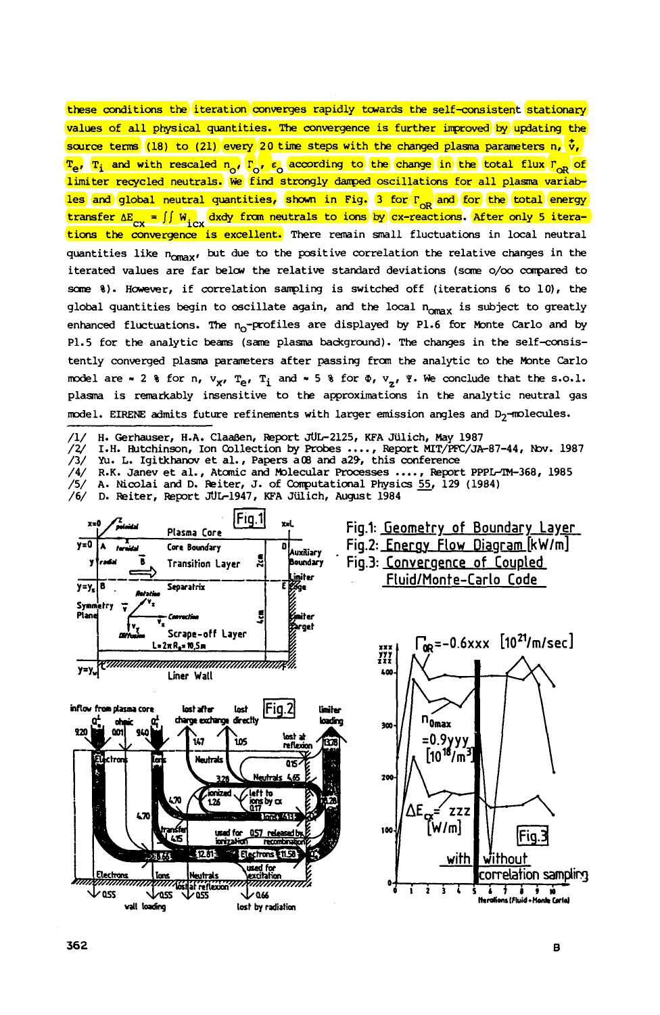these conditions the iteration converges rapidly towards the self-consistent stationary values of all physical quantities. The convergence is further improved by updating the source terms (18) to (21) every 20 time steps with the changed plasma parameters n,  $\dot{v}$ , source tens (16) to (21) every 20 the steps with the changed plasma parameters in v,<br><sup>T</sup>e, T<sub>i</sub> and with rescaled n<sub>o</sub>, r<sub>o</sub>, e<sub>o</sub> according to the change in the total flux  $r_{OR}$  of limiter recycled neutrals. We find strongly damped oscillations for all plasma variables and global neutral quantities, shown in Fig. 3 for  $r_{\text{oR}}$  and for the total energy transfer  $\Delta E_{\text{cyc}} = \iint W_{\text{cyc}} dx dy$  from neutrals to ions by cx-reactions. After only 5 iterations the convergence is excellent. There rain **small** fluctuations in local neutral quantities like n<sub>omax</sub>, but due to the positive correlation the relative changes in the iterated values **are** far **belcw** the relative **standard** deviations **(scme o/oo carpared to**  *scme* %). **Hcwever,** if correlation sanpling is switched off (iterations 6 to lo), the global quantities begin to oscillate again, and the local n<sub>omax</sub> is subject to greatly enhanced fluctuations. The  $n_0$ -profiles are displayed by P1.6 for Monte Carlo and by P1.5 for the analytic beams (same plasma background). The changes in the self-consistently converged plasma parameters after passing from the analytic to the Monte Carlo model are  $\sim$  2 % for n,  $v_{\chi}$ ,  $T_e$ ,  $T_i$  and  $\sim$  5 % for  $\Phi$ ,  $v_{\chi}$ ,  $\Psi$ . We conclude that the s.o.1. plasma is remarkably insensitive to the approximations in the analytic neutral gas model. EIRENE admits future refinements with larger emission angles and D<sub>2</sub>-molecules.

/1/ **H.** Gerhauser, H.A. ClaaBen, **Wprt** 5062125, **KF'A** Julich, *May* <sup>1987</sup>

*/2/* **I.H.** Hutchinson, **Ion** Collection **by probes** ...., Report MIT/FFC/JA-87-44, *Nxr.* <sup>1987</sup> /3/ **Yu.** L. Igitkharov et **al.,** Papers **aOB** and a29, this conference /4/ **R.K.** Janev et **al.,** Atanic **and** molecular **processes** .... , Wport PPPLrm-368, 1985

/5/ A. Nicolai and D. Reiter, J. of Computational Physics 55, 129 (1984)

/6/ D. Reiter, Report JUL1947, KFA Jiilich, August 1984



**doss 1055**<br>**vall loading** lost by radiation

**Fig.1: Geometry of Boundary Laver Fig.2: Energy Flow Diagram [kW/m] EXALL SECUTE: THE CONVERGENCE CORPORATION CORPORATION CONSUMING CONSUMING CONSUMING CONSUMING CONSUMING CONSUMING CONSUMING CONSUMING CONSUMING CONSUMING CONSUMING CONSUMING CONSUMING CONSUMING CONSUMING CONSUMING CONSUMI FluidIMonte-Carlo Code** 



**ass**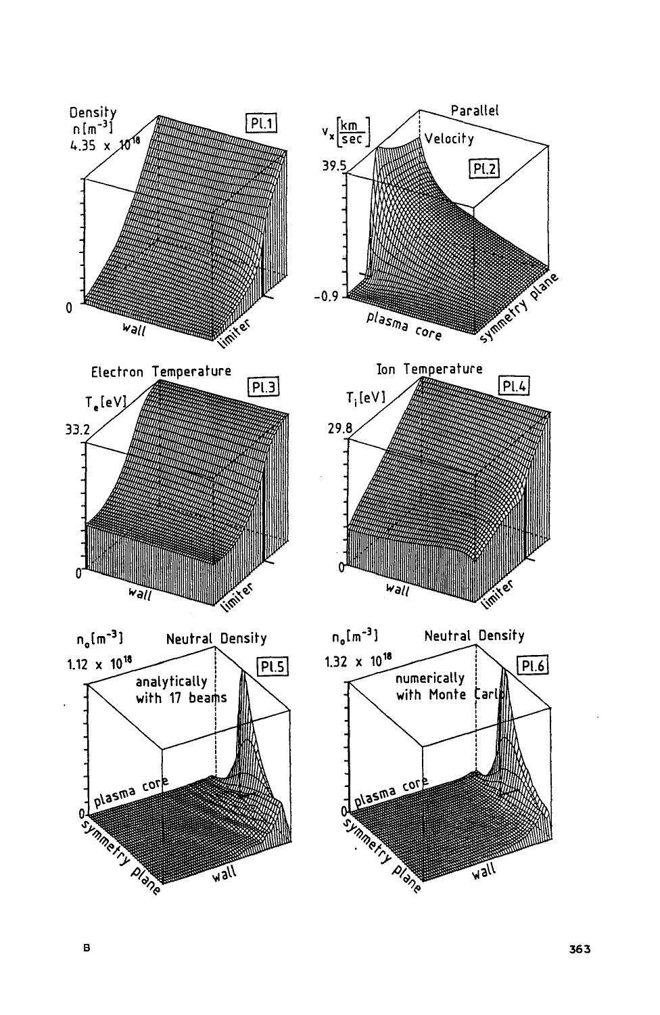